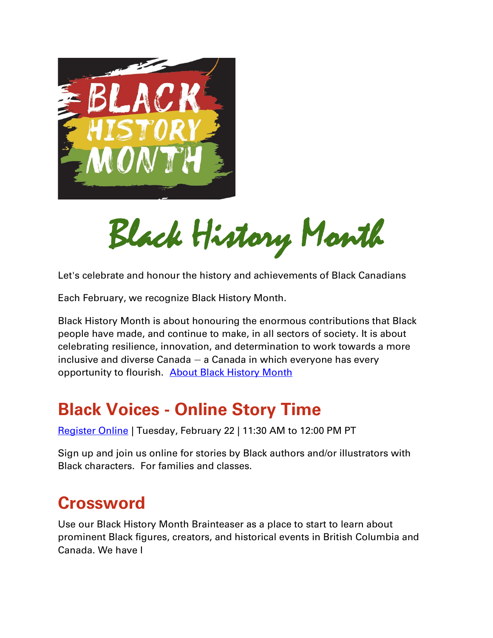

Black History Month

Let's celebrate and honour the history and achievements of Black Canadians

Each February, we recognize Black History Month.

Black History Month is about honouring the enormous contributions that Black people have made, and continue to make, in all sectors of society. It is about celebrating resilience, innovation, and determination to work towards a more inclusive and diverse Canada — a Canada in which everyone has every opportunity to flourish. [About Black History Month](https://www.canada.ca/en/canadian-heritage/campaigns/black-history-month/about.html)

## **Black Voices - Online Story Time**

[Register Online](https://orl.evanced.info/signup/EventDetails?EventId=58198) | Tuesday, February 22 | 11:30 AM to 12:00 PM PT

Sign up and join us online for stories by Black authors and/or illustrators with Black characters. For families and classes.

## **Crossword**

Use our Black History Month Brainteaser as a place to start to learn about prominent Black figures, creators, and historical events in British Columbia and Canada. We have l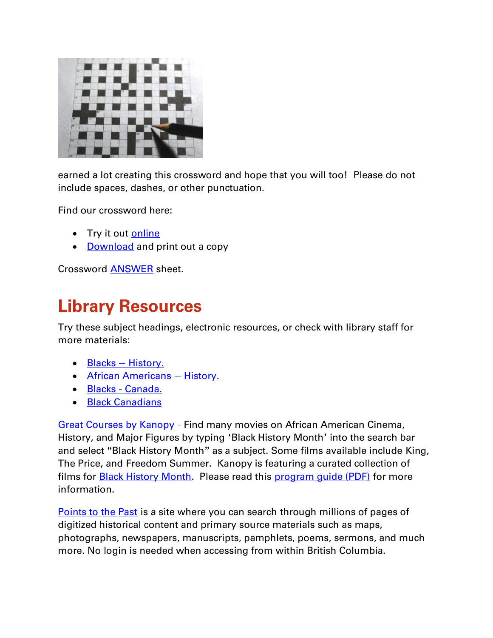

earned a lot creating this crossword and hope that you will too! Please do not include spaces, dashes, or other punctuation.

Find our crossword here:

- Try it out [online](https://crosswordlabs.com/view/black-history-month-crossword-48)
- [Download](https://www.orl.bc.ca/docs/default-source/read-listen-watch/blackhistorymonth-crossword.pdf?sfvrsn=5cc49f21_2) and print out a copy

Crossword [ANSWER](https://www.orl.bc.ca/docs/default-source/read-listen-watch/blackhistorymonth---crossword-answers.pdf?sfvrsn=32b49f21_4) sheet.

# **Library Resources**

Try these subject headings, electronic resources, or check with library staff for more materials:

- Blacks [History.](https://orl.bibliocommons.com/v2/search?searchType=subject&query=%22Blacks%20%E2%80%94%20History.%22)
- **[African Americans](https://orl.bibliocommons.com/v2/search?searchType=subject&query=%22African%20Americans%20%E2%80%94%20History.%22)  History.**
- Blacks [Canada.](https://orl.bibliocommons.com/v2/search?query=blacks%20-%20Canada&searchType=subject)
- [Black Canadians](https://orl.bibliocommons.com/v2/search?query=Black%20Canadians&searchType=subject)

[Great Courses by Kanopy](https://orl.bc.ca/elibrary/elearning/the-great-courses) – Find many movies on African American Cinema, History, and Major Figures by typing 'Black History Month' into the search bar and select "Black History Month" as a subject. Some films available include King, The Price, and Freedom Summer. Kanopy is featuring a curated collection of films for **Black History Month**. Please read this [program guide \(PDF\)](https://www.orl.bc.ca/docs/default-source/read-listen-watch/kanopy-bhm-programguide.pdf?sfvrsn=d8da9f21_2) for more information.

[Points to the Past](https://pointstothepast.ca/) is a site where you can search through millions of pages of digitized historical content and primary source materials such as maps, photographs, newspapers, manuscripts, pamphlets, poems, sermons, and much more. No login is needed when accessing from within British Columbia.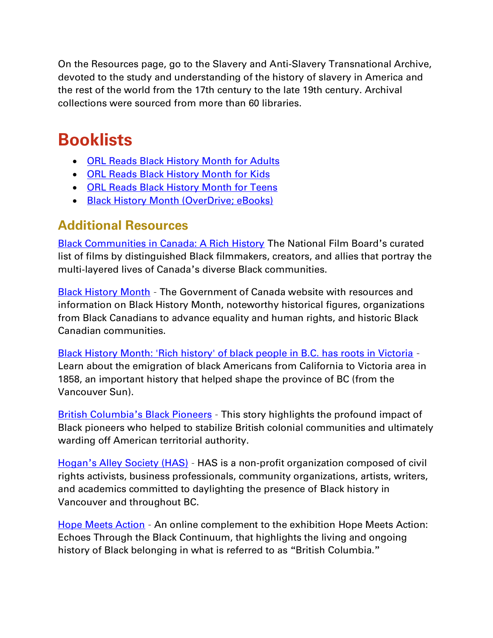On the Resources page, go to the Slavery and Anti-Slavery Transnational Archive, devoted to the study and understanding of the history of slavery in America and the rest of the world from the 17th century to the late 19th century. Archival collections were sourced from more than 60 libraries.

# **Booklists**

- [ORL Reads Black History Month for Adults](https://orl.bibliocommons.com/list/share/675410617_orlreads/1828511519_orl_reads_black_history_month_for_adults)
- [ORL Reads Black History Month for Kids](https://orl.bibliocommons.com/list/share/675410617_orlreads/2020691599_orl_reads_black_history_month_for_kids)
- [ORL Reads Black History Month for Teens](https://orl.bibliocommons.com/list/share/675410617_orlreads/2020683742_orl_reads_black_history_month_for_teens)
- [Black History Month \(OverDrive; eBooks\)](https://orl.overdrive.com/collection/1292719)

### **Additional Resources**

**[Black Communities in Canada: A Rich History](https://www.nfb.ca/playlist/nfb_celebrates_black_history_month/) The National Film Board's curated** list of films by distinguished Black filmmakers, creators, and allies that portray the multi-layered lives of Canada's diverse Black communities.

**[Black History Month](https://www.canada.ca/en/canadian-heritage/campaigns/black-history-month.html)** - The Government of Canada website with resources and information on Black History Month, noteworthy historical figures, organizations from Black Canadians to advance equality and human rights, and historic Black Canadian communities.

[Black History Month: 'Rich history' of black people in B.C. has roots in Victoria](https://vancouversun.com/news/local-news/rich-black-history-in-b-c) – Learn about the emigration of black Americans from California to Victoria area in 1858, an important history that helped shape the province of BC (from the Vancouver Sun).

[British Columbia](https://www.communitystories.ca/v2/bc-black-pioneers_les-pionniers-noirs-de-la-cb/?utm_source=vancouver%20is%20awesome&utm_campaign=vancouver%20is%20awesome%3A%20outbound&utm_medium=referral)'s Black Pioneers – This story highlights the profound impact of Black pioneers who helped to stabilize British colonial communities and ultimately warding off American territorial authority.

Hogan'[s Alley Society \(HAS\)](https://www.hogansalleysociety.org/) – HAS is a non-profit organization composed of civil rights activists, business professionals, community organizations, artists, writers, and academics committed to daylighting the presence of Black history in Vancouver and throughout BC.

[Hope Meets Action](https://learning.royalbcmuseum.bc.ca/pathways/hope-meets-action/?_ga=2.30484347.554887159.1636068769-1978488556.1634599949) – An online complement to the exhibition Hope Meets Action: Echoes Through the Black Continuum, that highlights the living and ongoing history of Black belonging in what is referred to as "British Columbia."